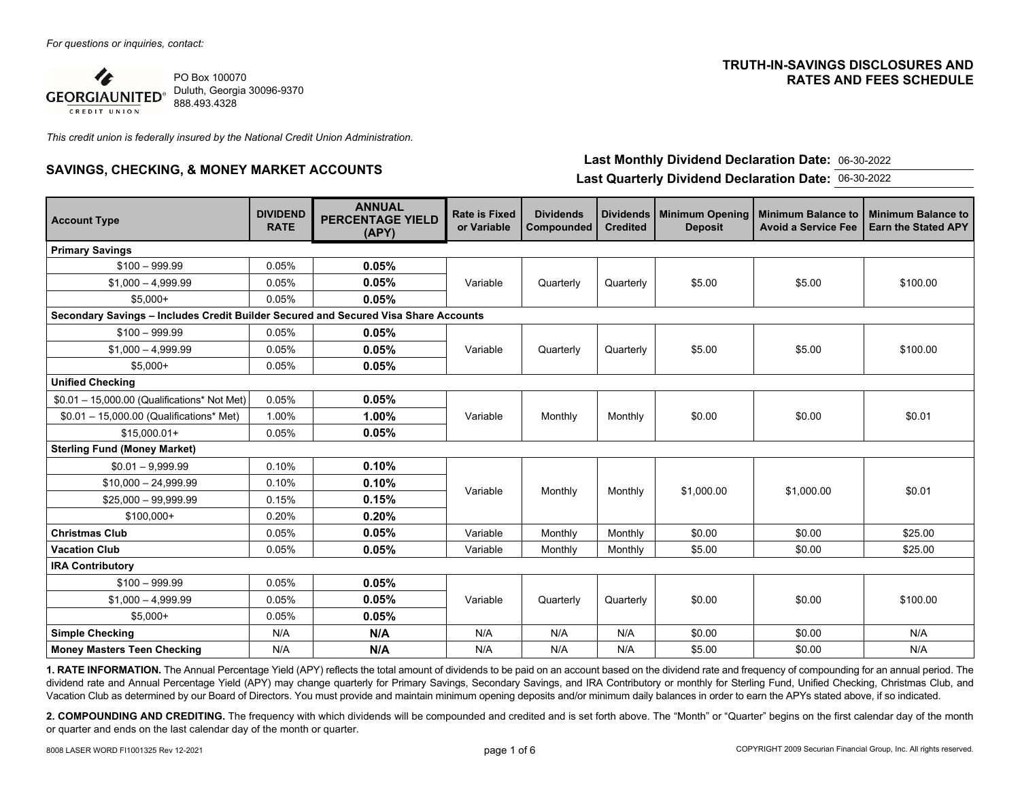

*This credit union is federally insured by the National Credit Union Administration.* 

# **SAVINGS, CHECKING, & MONEY MARKET ACCOUNTS Last Monthly Dividend Declaration Date:** 06-30-2022

## **TRUTH-IN-SAVINGS DISCLOSURES AND RATES AND FEES SCHEDULE**

**Last Quarterly Dividend Declaration Date:** 06-30-2022

| <b>Account Type</b>                                                                 | <b>DIVIDEND</b><br><b>RATE</b> | <b>ANNUAL</b><br><b>PERCENTAGE YIELD</b><br>(APY) | <b>Rate is Fixed</b><br>or Variable | <b>Dividends</b><br>Compounded | <b>Dividends</b><br><b>Credited</b> | Minimum Opening<br><b>Deposit</b> | <b>Minimum Balance to</b><br><b>Avoid a Service Fee</b> | <b>Minimum Balance to</b><br>Earn the Stated APY |  |
|-------------------------------------------------------------------------------------|--------------------------------|---------------------------------------------------|-------------------------------------|--------------------------------|-------------------------------------|-----------------------------------|---------------------------------------------------------|--------------------------------------------------|--|
| <b>Primary Savings</b>                                                              |                                |                                                   |                                     |                                |                                     |                                   |                                                         |                                                  |  |
| $$100 - 999.99$                                                                     | 0.05%                          | 0.05%                                             |                                     | Quarterly                      | Quarterly                           | \$5.00                            | \$5.00                                                  | \$100.00                                         |  |
| $$1,000 - 4,999.99$                                                                 | 0.05%                          | 0.05%                                             | Variable                            |                                |                                     |                                   |                                                         |                                                  |  |
| $$5.000+$                                                                           | 0.05%                          | 0.05%                                             |                                     |                                |                                     |                                   |                                                         |                                                  |  |
| Secondary Savings - Includes Credit Builder Secured and Secured Visa Share Accounts |                                |                                                   |                                     |                                |                                     |                                   |                                                         |                                                  |  |
| $$100 - 999.99$                                                                     | 0.05%                          | 0.05%                                             |                                     | Quarterly                      | Quarterly                           | \$5.00                            | \$5.00                                                  | \$100.00                                         |  |
| $$1,000 - 4,999.99$                                                                 | 0.05%                          | 0.05%                                             | Variable                            |                                |                                     |                                   |                                                         |                                                  |  |
| $$5.000+$                                                                           | 0.05%                          | 0.05%                                             |                                     |                                |                                     |                                   |                                                         |                                                  |  |
| <b>Unified Checking</b>                                                             |                                |                                                   |                                     |                                |                                     |                                   |                                                         |                                                  |  |
| $$0.01 - 15,000.00$ (Qualifications* Not Met)                                       | 0.05%                          | 0.05%                                             |                                     | Monthly                        | Monthly                             | \$0.00                            | \$0.00                                                  | \$0.01                                           |  |
| $$0.01 - 15,000.00$ (Qualifications* Met)                                           | 1.00%                          | 1.00%                                             | Variable                            |                                |                                     |                                   |                                                         |                                                  |  |
| $$15.000.01+$                                                                       | 0.05%                          | 0.05%                                             |                                     |                                |                                     |                                   |                                                         |                                                  |  |
| <b>Sterling Fund (Money Market)</b>                                                 |                                |                                                   |                                     |                                |                                     |                                   |                                                         |                                                  |  |
| $$0.01 - 9.999.99$                                                                  | 0.10%                          | 0.10%                                             |                                     |                                |                                     |                                   |                                                         |                                                  |  |
| $$10,000 - 24,999.99$                                                               | 0.10%                          | 0.10%                                             | Variable                            | Monthly                        | Monthly                             | \$1,000.00                        | \$1,000.00                                              | \$0.01                                           |  |
| $$25,000 - 99,999.99$                                                               | 0.15%                          | 0.15%                                             |                                     |                                |                                     |                                   |                                                         |                                                  |  |
| $$100,000+$                                                                         | 0.20%                          | 0.20%                                             |                                     |                                |                                     |                                   |                                                         |                                                  |  |
| <b>Christmas Club</b>                                                               | 0.05%                          | 0.05%                                             | Variable                            | Monthly                        | Monthly                             | \$0.00                            | \$0.00                                                  | \$25.00                                          |  |
| <b>Vacation Club</b>                                                                | 0.05%                          | 0.05%                                             | Variable                            | Monthly                        | Monthly                             | \$5.00                            | \$0.00                                                  | \$25.00                                          |  |
| <b>IRA Contributory</b>                                                             |                                |                                                   |                                     |                                |                                     |                                   |                                                         |                                                  |  |
| $$100 - 999.99$                                                                     | 0.05%                          | 0.05%                                             |                                     |                                |                                     |                                   |                                                         |                                                  |  |
| $$1.000 - 4.999.99$                                                                 | 0.05%                          | 0.05%                                             | Variable                            | Quarterly                      | Quarterly                           | \$0.00                            | \$0.00                                                  | \$100.00                                         |  |
| $$5,000+$                                                                           | 0.05%                          | 0.05%                                             |                                     |                                |                                     |                                   |                                                         |                                                  |  |
| <b>Simple Checking</b>                                                              | N/A                            | N/A                                               | N/A                                 | N/A                            | N/A                                 | \$0.00                            | \$0.00                                                  | N/A                                              |  |
| <b>Money Masters Teen Checking</b>                                                  | N/A                            | N/A                                               | N/A                                 | N/A                            | N/A                                 | \$5.00                            | \$0.00                                                  | N/A                                              |  |

**1. RATE INFORMATION.** The Annual Percentage Yield (APY) reflects the total amount of dividends to be paid on an account based on the dividend rate and frequency of compounding for an annual period. The dividend rate and Annual Percentage Yield (APY) may change quarterly for Primary Savings, Secondary Savings, and IRA Contributory or monthly for Sterling Fund, Unified Checking, Christmas Club, and Vacation Club as determined by our Board of Directors. You must provide and maintain minimum opening deposits and/or minimum daily balances in order to earn the APYs stated above, if so indicated.

**2. COMPOUNDING AND CREDITING.** The frequency with which dividends will be compounded and credited and is set forth above. The "Month" or "Quarter" begins on the first calendar day of the month or quarter and ends on the last calendar day of the month or quarter.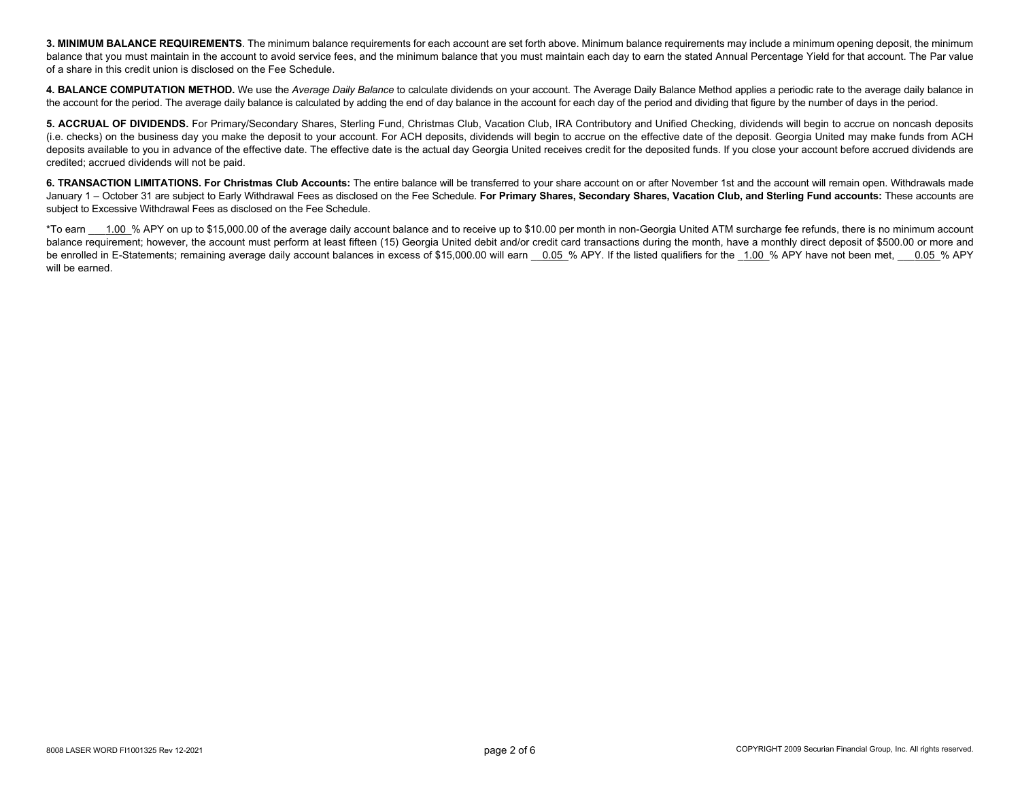3. MINIMUM BALANCE REQUIREMENTS. The minimum balance requirements for each account are set forth above. Minimum balance requirements may include a minimum opening deposit, the minimum balance that you must maintain in the account to avoid service fees, and the minimum balance that you must maintain each day to earn the stated Annual Percentage Yield for that account. The Par value of a share in this credit union is disclosed on the Fee Schedule.

**4. BALANCE COMPUTATION METHOD.** We use the *Average Daily Balance* to calculate dividends on your account. The Average Daily Balance Method applies a periodic rate to the average daily balance in the account for the period. The average daily balance is calculated by adding the end of day balance in the account for each day of the period and dividing that figure by the number of days in the period.

**5. ACCRUAL OF DIVIDENDS.** For Primary/Secondary Shares, Sterling Fund, Christmas Club, Vacation Club, IRA Contributory and Unified Checking, dividends will begin to accrue on noncash deposits (i.e. checks) on the business day you make the deposit to your account. For ACH deposits, dividends will begin to accrue on the effective date of the deposit. Georgia United may make funds from ACH deposits available to you in advance of the effective date. The effective date is the actual day Georgia United receives credit for the deposited funds. If you close your account before accrued dividends are credited; accrued dividends will not be paid.

**6. TRANSACTION LIMITATIONS. For Christmas Club Accounts:** The entire balance will be transferred to your share account on or after November 1st and the account will remain open. Withdrawals made January 1 – October 31 are subject to Early Withdrawal Fees as disclosed on the Fee Schedule. **For Primary Shares, Secondary Shares, Vacation Club, and Sterling Fund accounts:** These accounts are subject to Excessive Withdrawal Fees as disclosed on the Fee Schedule.

\*To earn 1.00 % APY on up to \$15,000.00 of the average daily account balance and to receive up to \$10.00 per month in non-Georgia United ATM surcharge fee refunds, there is no minimum account balance requirement; however, the account must perform at least fifteen (15) Georgia United debit and/or credit card transactions during the month, have a monthly direct deposit of \$500.00 or more and be enrolled in E-Statements; remaining average daily account balances in excess of \$15,000.00 will earn 0.05 % APY. If the listed qualifiers for the 1.00 % APY have not been met, 0.05 % APY will be earned.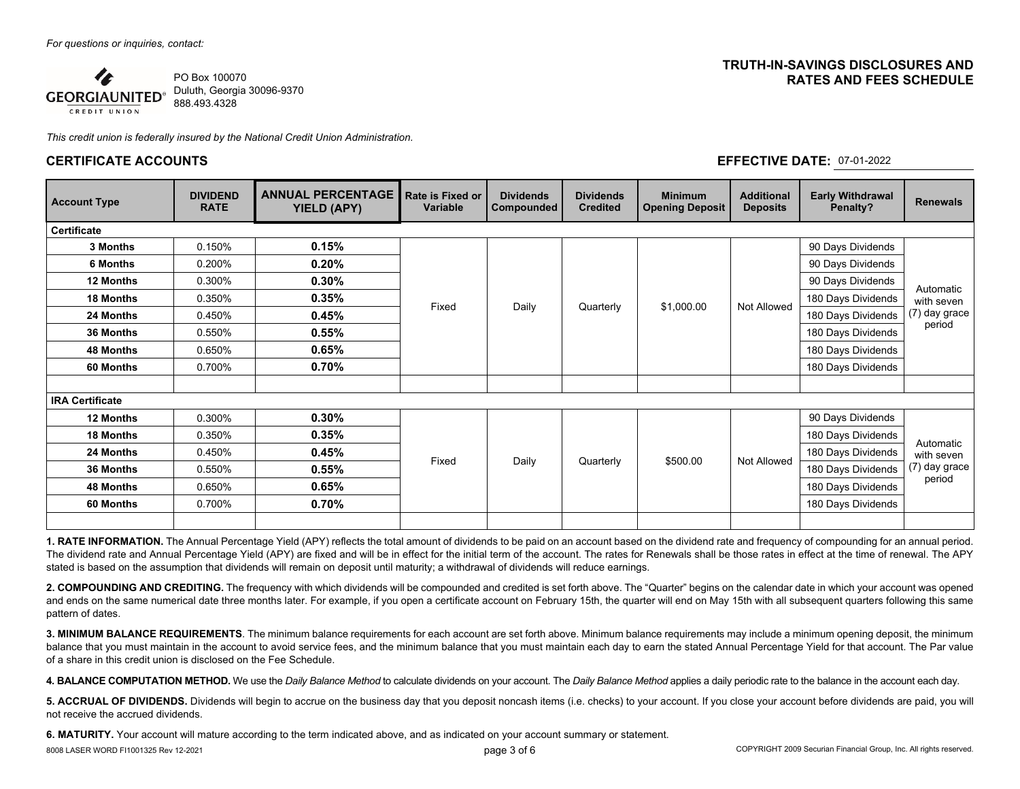

*This credit union is federally insured by the National Credit Union Administration.* 

#### **CERTIFICATE ACCOUNTS EFFECTIVE DATE:** 07-01-2022

### **TRUTH-IN-SAVINGS DISCLOSURES AND RATES AND FEES SCHEDULE**

| <b>Account Type</b>    | <b>DIVIDEND</b><br><b>RATE</b> | <b>ANNUAL PERCENTAGE</b><br>YIELD (APY) | Rate is Fixed or<br><b>Variable</b> | <b>Dividends</b><br>Compounded | <b>Dividends</b><br><b>Credited</b> | <b>Minimum</b><br><b>Opening Deposit</b> | <b>Additional</b><br><b>Deposits</b> | <b>Early Withdrawal</b><br>Penalty? | <b>Renewals</b>                                    |
|------------------------|--------------------------------|-----------------------------------------|-------------------------------------|--------------------------------|-------------------------------------|------------------------------------------|--------------------------------------|-------------------------------------|----------------------------------------------------|
| <b>Certificate</b>     |                                |                                         |                                     |                                |                                     |                                          |                                      |                                     |                                                    |
| 3 Months               | 0.150%                         | 0.15%                                   |                                     | Daily                          | Quarterly                           | \$1,000.00                               | Not Allowed                          | 90 Days Dividends                   | Automatic<br>with seven<br>(7) day grace<br>period |
| 6 Months               | 0.200%                         | 0.20%                                   |                                     |                                |                                     |                                          |                                      | 90 Days Dividends                   |                                                    |
| 12 Months              | 0.300%                         | $0.30\%$                                | Fixed                               |                                |                                     |                                          |                                      | 90 Days Dividends                   |                                                    |
| <b>18 Months</b>       | 0.350%                         | 0.35%                                   |                                     |                                |                                     |                                          |                                      | 180 Days Dividends                  |                                                    |
| 24 Months              | 0.450%                         | 0.45%                                   |                                     |                                |                                     |                                          |                                      | 180 Days Dividends                  |                                                    |
| 36 Months              | 0.550%                         | 0.55%                                   |                                     |                                |                                     |                                          |                                      | 180 Days Dividends                  |                                                    |
| 48 Months              | 0.650%                         | 0.65%                                   |                                     |                                |                                     |                                          |                                      | 180 Days Dividends                  |                                                    |
| 60 Months              | 0.700%                         | 0.70%                                   |                                     |                                |                                     |                                          |                                      | 180 Days Dividends                  |                                                    |
| <b>IRA Certificate</b> |                                |                                         |                                     |                                |                                     |                                          |                                      |                                     |                                                    |
| 12 Months              | 0.300%                         | 0.30%                                   |                                     | Daily                          | Quarterly                           | \$500.00                                 | Not Allowed                          | 90 Days Dividends                   | Automatic<br>with seven<br>(7) day grace<br>period |
| 18 Months              | 0.350%                         | 0.35%                                   | Fixed                               |                                |                                     |                                          |                                      | 180 Days Dividends                  |                                                    |
| 24 Months              | 0.450%                         | 0.45%                                   |                                     |                                |                                     |                                          |                                      | 180 Days Dividends                  |                                                    |
| 36 Months              | 0.550%                         | 0.55%                                   |                                     |                                |                                     |                                          |                                      | 180 Days Dividends                  |                                                    |
| <b>48 Months</b>       | 0.650%                         | 0.65%                                   |                                     |                                |                                     |                                          |                                      | 180 Days Dividends                  |                                                    |
| 60 Months              | 0.700%                         | 0.70%                                   |                                     |                                |                                     |                                          |                                      | 180 Days Dividends                  |                                                    |
|                        |                                |                                         |                                     |                                |                                     |                                          |                                      |                                     |                                                    |

**1. RATE INFORMATION.** The Annual Percentage Yield (APY) reflects the total amount of dividends to be paid on an account based on the dividend rate and frequency of compounding for an annual period. The dividend rate and Annual Percentage Yield (APY) are fixed and will be in effect for the initial term of the account. The rates for Renewals shall be those rates in effect at the time of renewal. The APY stated is based on the assumption that dividends will remain on deposit until maturity; a withdrawal of dividends will reduce earnings.

**2. COMPOUNDING AND CREDITING.** The frequency with which dividends will be compounded and credited is set forth above. The "Quarter" begins on the calendar date in which your account was opened and ends on the same numerical date three months later. For example, if you open a certificate account on February 15th, the quarter will end on May 15th with all subsequent quarters following this same pattern of dates.

**3. MINIMUM BALANCE REQUIREMENTS**. The minimum balance requirements for each account are set forth above. Minimum balance requirements may include a minimum opening deposit, the minimum balance that you must maintain in the account to avoid service fees, and the minimum balance that you must maintain each day to earn the stated Annual Percentage Yield for that account. The Par value of a share in this credit union is disclosed on the Fee Schedule.

**4. BALANCE COMPUTATION METHOD.** We use the *Daily Balance Method* to calculate dividends on your account. The *Daily Balance Method* applies a daily periodic rate to the balance in the account each day.

**5. ACCRUAL OF DIVIDENDS.** Dividends will begin to accrue on the business day that you deposit noncash items (i.e. checks) to your account. If you close your account before dividends are paid, you will not receive the accrued dividends.

**6. MATURITY.** Your account will mature according to the term indicated above, and as indicated on your account summary or statement.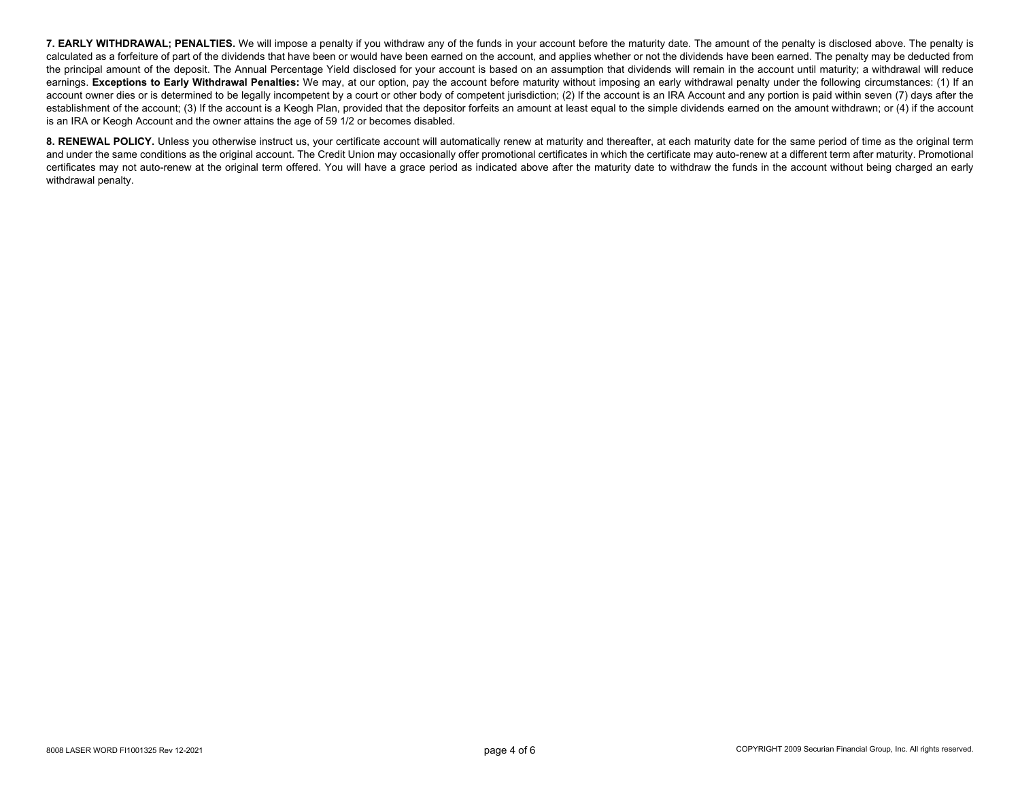**7. EARLY WITHDRAWAL; PENALTIES.** We will impose a penalty if you withdraw any of the funds in your account before the maturity date. The amount of the penalty is disclosed above. The penalty is calculated as a forfeiture of part of the dividends that have been or would have been earned on the account, and applies whether or not the dividends have been earned. The penalty may be deducted from the principal amount of the deposit. The Annual Percentage Yield disclosed for your account is based on an assumption that dividends will remain in the account until maturity; a withdrawal will reduce earnings. Exceptions to Early Withdrawal Penalties: We may, at our option, pay the account before maturity without imposing an early withdrawal penalty under the following circumstances: (1) If an account owner dies or is determined to be legally incompetent by a court or other body of competent jurisdiction; (2) If the account is an IRA Account and any portion is paid within seven (7) days after the establishment of the account; (3) If the account is a Keogh Plan, provided that the depositor forfeits an amount at least equal to the simple dividends earned on the amount withdrawn; or (4) if the account is an IRA or Keogh Account and the owner attains the age of 59 1/2 or becomes disabled.

8. RENEWAL POLICY. Unless you otherwise instruct us, your certificate account will automatically renew at maturity and thereafter, at each maturity date for the same period of time as the original term and under the same conditions as the original account. The Credit Union may occasionally offer promotional certificates in which the certificate may auto-renew at a different term after maturity. Promotional certificates may not auto-renew at the original term offered. You will have a grace period as indicated above after the maturity date to withdraw the funds in the account without being charged an early withdrawal penalty.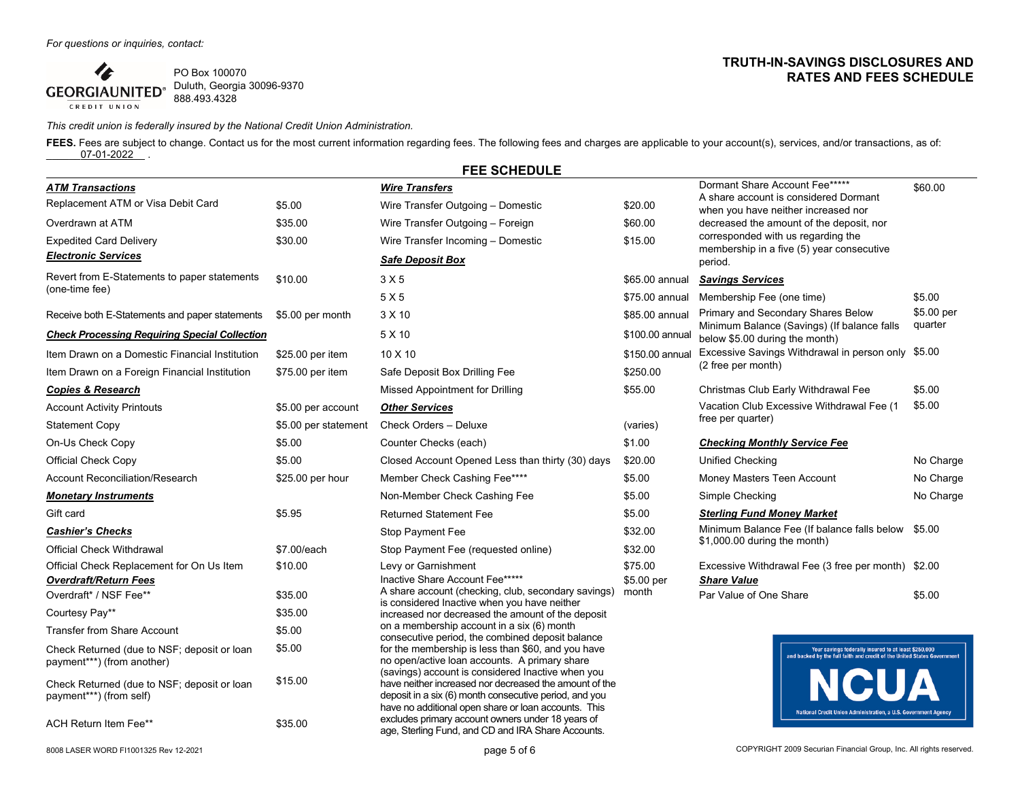4 PO Box 100070 Duluth, Georgia 30096-9370 **GEORGIAUNITED®** 888.493.4328 CREDIT UNION

# *This credit union is federally insured by the National Credit Union Administration.*

FEES. Fees are subject to change. Contact us for the most current information regarding fees. The following fees and charges are applicable to your account(s), services, and/or transactions, as of:  $07-01-2022$ .

|                                                                           |                      | <b>FEE SCHEDULE</b>                                                                                                                                                                                                                                                                |                 |                                                                                                                                 |            |
|---------------------------------------------------------------------------|----------------------|------------------------------------------------------------------------------------------------------------------------------------------------------------------------------------------------------------------------------------------------------------------------------------|-----------------|---------------------------------------------------------------------------------------------------------------------------------|------------|
| <b>ATM Transactions</b>                                                   |                      | <b>Wire Transfers</b>                                                                                                                                                                                                                                                              |                 | Dormant Share Account Fee*****                                                                                                  | \$60.00    |
| Replacement ATM or Visa Debit Card<br>\$5.00                              |                      | Wire Transfer Outgoing - Domestic                                                                                                                                                                                                                                                  | \$20.00         | A share account is considered Dormant<br>when you have neither increased nor                                                    |            |
| \$35.00<br>Overdrawn at ATM                                               |                      | Wire Transfer Outgoing - Foreign                                                                                                                                                                                                                                                   | \$60.00         | decreased the amount of the deposit, nor                                                                                        |            |
| <b>Expedited Card Delivery</b><br>\$30.00                                 |                      | Wire Transfer Incoming - Domestic                                                                                                                                                                                                                                                  | \$15.00         | corresponded with us regarding the                                                                                              |            |
| <b>Electronic Services</b>                                                |                      | <b>Safe Deposit Box</b>                                                                                                                                                                                                                                                            |                 | membership in a five (5) year consecutive<br>period.                                                                            |            |
| Revert from E-Statements to paper statements                              | \$10.00              | 3 X 5                                                                                                                                                                                                                                                                              | \$65.00 annual  | <b>Savings Services</b>                                                                                                         |            |
| (one-time fee)                                                            |                      | 5X5                                                                                                                                                                                                                                                                                | \$75,00 annual  | Membership Fee (one time)                                                                                                       | \$5.00     |
| Receive both E-Statements and paper statements<br>\$5.00 per month        |                      | 3 X 10                                                                                                                                                                                                                                                                             | \$85.00 annual  | Primary and Secondary Shares Below                                                                                              | \$5.00 per |
| <b>Check Processing Requiring Special Collection</b>                      |                      | 5 X 10                                                                                                                                                                                                                                                                             | \$100.00 annual | Minimum Balance (Savings) (If balance falls<br>below \$5.00 during the month)                                                   | quarter    |
| Item Drawn on a Domestic Financial Institution<br>\$25.00 per item        |                      | 10 X 10                                                                                                                                                                                                                                                                            | \$150.00 annual | Excessive Savings Withdrawal in person only \$5.00                                                                              |            |
| Item Drawn on a Foreign Financial Institution                             | \$75.00 per item     | Safe Deposit Box Drilling Fee                                                                                                                                                                                                                                                      | \$250.00        | (2 free per month)                                                                                                              |            |
| <b>Copies &amp; Research</b>                                              |                      | Missed Appointment for Drilling                                                                                                                                                                                                                                                    | \$55.00         | Christmas Club Early Withdrawal Fee                                                                                             | \$5.00     |
| <b>Account Activity Printouts</b><br>\$5.00 per account                   |                      | <b>Other Services</b>                                                                                                                                                                                                                                                              |                 | Vacation Club Excessive Withdrawal Fee (1                                                                                       | \$5.00     |
| <b>Statement Copy</b>                                                     | \$5.00 per statement | Check Orders - Deluxe                                                                                                                                                                                                                                                              | (varies)        | free per quarter)                                                                                                               |            |
| \$5.00<br>On-Us Check Copy                                                |                      | Counter Checks (each)                                                                                                                                                                                                                                                              | \$1.00          | <b>Checking Monthly Service Fee</b>                                                                                             |            |
| Official Check Copy<br>\$5.00                                             |                      | Closed Account Opened Less than thirty (30) days                                                                                                                                                                                                                                   | \$20.00         | <b>Unified Checking</b>                                                                                                         | No Charge  |
| <b>Account Reconciliation/Research</b><br>\$25.00 per hour                |                      | Member Check Cashing Fee****                                                                                                                                                                                                                                                       | \$5.00          | Money Masters Teen Account                                                                                                      | No Charge  |
| <b>Monetary Instruments</b>                                               |                      | Non-Member Check Cashing Fee                                                                                                                                                                                                                                                       | \$5.00          | Simple Checking                                                                                                                 | No Charge  |
| Gift card<br>\$5.95                                                       |                      | <b>Returned Statement Fee</b>                                                                                                                                                                                                                                                      | \$5.00          | <b>Sterling Fund Money Market</b>                                                                                               |            |
| <b>Cashier's Checks</b>                                                   |                      | Stop Payment Fee                                                                                                                                                                                                                                                                   | \$32.00         | Minimum Balance Fee (If balance falls below                                                                                     | \$5.00     |
| <b>Official Check Withdrawal</b>                                          | \$7.00/each          | Stop Payment Fee (requested online)                                                                                                                                                                                                                                                | \$32.00         | \$1,000.00 during the month)                                                                                                    |            |
| Official Check Replacement for On Us Item                                 | \$10.00              | Levy or Garnishment                                                                                                                                                                                                                                                                | \$75.00         | Excessive Withdrawal Fee (3 free per month) \$2.00                                                                              |            |
| <b>Overdraft/Return Fees</b>                                              |                      | Inactive Share Account Fee*****<br>\$5.00 per<br>A share account (checking, club, secondary savings)<br>month                                                                                                                                                                      |                 | <b>Share Value</b>                                                                                                              |            |
| Overdraft* / NSF Fee**                                                    | \$35.00              | is considered Inactive when you have neither                                                                                                                                                                                                                                       |                 | Par Value of One Share                                                                                                          | \$5.00     |
| Courtesy Pay**                                                            | \$35.00              | increased nor decreased the amount of the deposit<br>on a membership account in a six (6) month                                                                                                                                                                                    |                 |                                                                                                                                 |            |
| <b>Transfer from Share Account</b>                                        | \$5.00               | consecutive period, the combined deposit balance                                                                                                                                                                                                                                   |                 |                                                                                                                                 |            |
| Check Returned (due to NSF; deposit or loan<br>payment***) (from another) | \$5.00               | for the membership is less than \$60, and you have<br>no open/active loan accounts. A primary share                                                                                                                                                                                |                 | Your savings federally insured to at least \$250,000<br>and backed by the full faith and credit of the United States Government |            |
| Check Returned (due to NSF; deposit or loan<br>payment***) (from self)    | \$15.00              | (savings) account is considered Inactive when you<br>have neither increased nor decreased the amount of the<br>deposit in a six (6) month consecutive period, and you<br>have no additional open share or loan accounts. This<br>excludes primary account owners under 18 years of |                 | <b>INCUA</b><br>National Credit Union Administration, a U.S. Government Agency                                                  |            |
| ACH Return Item Fee**                                                     | \$35.00              |                                                                                                                                                                                                                                                                                    |                 |                                                                                                                                 |            |

age, Sterling Fund, and CD and IRA Share Accounts.